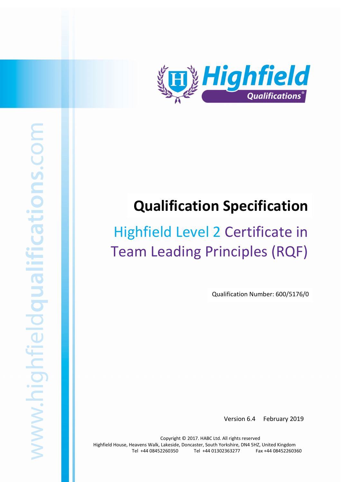

# Qualification Specification

# Team Leading Principles (RQF) Highfield Level 2 Certificate in

Qualification Number: 600/5176/0

Version 6.4 February 2019

Copyright © 2017. HABC Ltd. All rights reserved Highfield House, Heavens Walk, Lakeside, Doncaster, South Yorkshire, DN4 5HZ, United Kingdom Tel +44 08452260350 Tel +44 01302363277 Fax +44 08452260360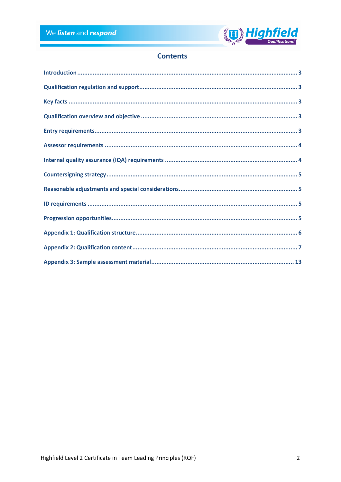

# **Contents**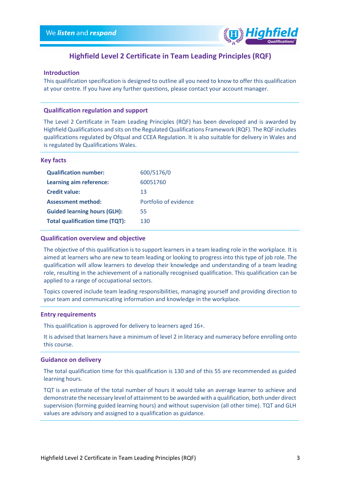

# Highfield Level 2 Certificate in Team Leading Principles (RQF)

## Introduction

This qualification specification is designed to outline all you need to know to offer this qualification at your centre. If you have any further questions, please contact your account manager.

## Qualification regulation and support

The Level 2 Certificate in Team Leading Principles (RQF) has been developed and is awarded by Highfield Qualifications and sits on the Regulated Qualifications Framework (RQF). The RQF includes qualifications regulated by Ofqual and CCEA Regulation. It is also suitable for delivery in Wales and is regulated by Qualifications Wales.

#### Key facts

| <b>Qualification number:</b>           | 600/5176/0            |
|----------------------------------------|-----------------------|
| Learning aim reference:                | 60051760              |
| <b>Credit value:</b>                   | 13                    |
| <b>Assessment method:</b>              | Portfolio of evidence |
| <b>Guided learning hours (GLH):</b>    | 55                    |
| <b>Total qualification time (TQT):</b> | 130                   |

#### Qualification overview and objective

The objective of this qualification is to support learners in a team leading role in the workplace. It is aimed at learners who are new to team leading or looking to progress into this type of job role. The qualification will allow learners to develop their knowledge and understanding of a team leading role, resulting in the achievement of a nationally recognised qualification. This qualification can be applied to a range of occupational sectors.

Topics covered include team leading responsibilities, managing yourself and providing direction to your team and communicating information and knowledge in the workplace.

#### Entry requirements

This qualification is approved for delivery to learners aged 16+.

It is advised that learners have a minimum of level 2 in literacy and numeracy before enrolling onto this course.

## Guidance on delivery

The total qualification time for this qualification is 130 and of this 55 are recommended as guided learning hours.

TQT is an estimate of the total number of hours it would take an average learner to achieve and demonstrate the necessary level of attainment to be awarded with a qualification, both under direct supervision (forming guided learning hours) and without supervision (all other time). TQT and GLH values are advisory and assigned to a qualification as guidance.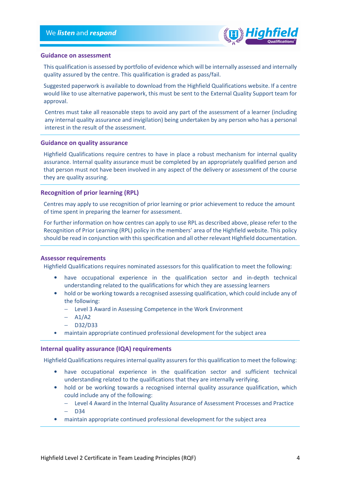

#### Guidance on assessment

This qualification is assessed by portfolio of evidence which will be internally assessed and internally quality assured by the centre. This qualification is graded as pass/fail.

Suggested paperwork is available to download from the Highfield Qualifications website. If a centre would like to use alternative paperwork, this must be sent to the External Quality Support team for approval.

Centres must take all reasonable steps to avoid any part of the assessment of a learner (including any internal quality assurance and invigilation) being undertaken by any person who has a personal interest in the result of the assessment.

#### Guidance on quality assurance

Highfield Qualifications require centres to have in place a robust mechanism for internal quality assurance. Internal quality assurance must be completed by an appropriately qualified person and that person must not have been involved in any aspect of the delivery or assessment of the course they are quality assuring.

#### Recognition of prior learning (RPL)

Centres may apply to use recognition of prior learning or prior achievement to reduce the amount of time spent in preparing the learner for assessment.

For further information on how centres can apply to use RPL as described above, please refer to the Recognition of Prior Learning (RPL) policy in the members' area of the Highfield website. This policy should be read in conjunction with this specification and all other relevant Highfield documentation.

#### Assessor requirements

Highfield Qualifications requires nominated assessors for this qualification to meet the following:

- have occupational experience in the qualification sector and in-depth technical understanding related to the qualifications for which they are assessing learners
- hold or be working towards a recognised assessing qualification, which could include any of the following:
	- − Level 3 Award in Assessing Competence in the Work Environment
	- − A1/A2
	- − D32/D33
- maintain appropriate continued professional development for the subject area

#### Internal quality assurance (IQA) requirements

Highfield Qualifications requires internal quality assurers for this qualification to meet the following:

- have occupational experience in the qualification sector and sufficient technical understanding related to the qualifications that they are internally verifying.
- hold or be working towards a recognised internal quality assurance qualification, which could include any of the following:
	- − Level 4 Award in the Internal Quality Assurance of Assessment Processes and Practice
	- − D34
- maintain appropriate continued professional development for the subject area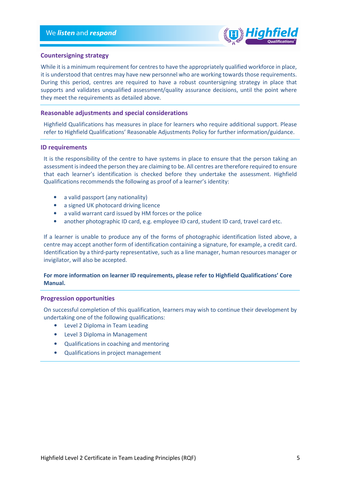

## Countersigning strategy

While it is a minimum requirement for centres to have the appropriately qualified workforce in place, it is understood that centres may have new personnel who are working towards those requirements. During this period, centres are required to have a robust countersigning strategy in place that supports and validates unqualified assessment/quality assurance decisions, until the point where they meet the requirements as detailed above.

## Reasonable adjustments and special considerations

Highfield Qualifications has measures in place for learners who require additional support. Please refer to Highfield Qualifications' Reasonable Adjustments Policy for further information/guidance.

#### ID requirements

It is the responsibility of the centre to have systems in place to ensure that the person taking an assessment is indeed the person they are claiming to be. All centres are therefore required to ensure that each learner's identification is checked before they undertake the assessment. Highfield Qualifications recommends the following as proof of a learner's identity:

- a valid passport (any nationality)
- a signed UK photocard driving licence
- a valid warrant card issued by HM forces or the police
- another photographic ID card, e.g. employee ID card, student ID card, travel card etc.

If a learner is unable to produce any of the forms of photographic identification listed above, a centre may accept another form of identification containing a signature, for example, a credit card. Identification by a third-party representative, such as a line manager, human resources manager or invigilator, will also be accepted.

## For more information on learner ID requirements, please refer to Highfield Qualifications' Core Manual.

### Progression opportunities

On successful completion of this qualification, learners may wish to continue their development by undertaking one of the following qualifications:

- Level 2 Diploma in Team Leading
- Level 3 Diploma in Management
- Qualifications in coaching and mentoring
- Qualifications in project management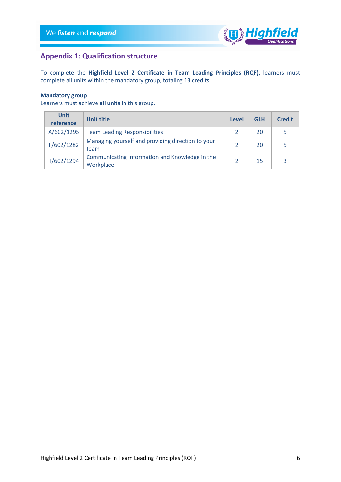

# Appendix 1: Qualification structure

To complete the Highfield Level 2 Certificate in Team Leading Principles (RQF), learners must complete all units within the mandatory group, totaling 13 credits.

# Mandatory group

Learners must achieve all units in this group.

| <b>Unit</b><br>reference | Unit title                                                  | Level | <b>GLH</b> | <b>Credit</b> |
|--------------------------|-------------------------------------------------------------|-------|------------|---------------|
| A/602/1295               | <b>Team Leading Responsibilities</b>                        |       | 20         |               |
| F/602/1282               | Managing yourself and providing direction to your<br>team   |       | 20         |               |
| T/602/1294               | Communicating Information and Knowledge in the<br>Workplace |       | 15         |               |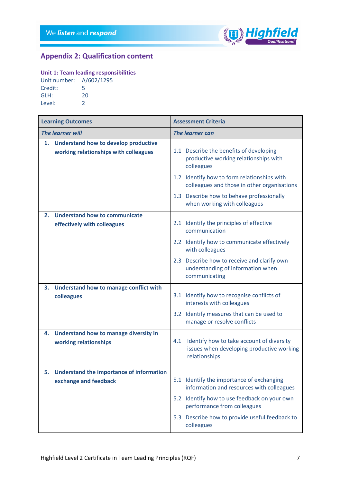

# Appendix 2: Qualification content

# Unit 1: Team leading responsibilities

| Unit number: A/602/1295 |    |
|-------------------------|----|
| Credit:                 | 5  |
| GLH:                    | 20 |
| Level:                  | 2  |

| <b>Learning Outcomes</b> |                                                                                      | <b>Assessment Criteria</b> |                                                                                                         |  |
|--------------------------|--------------------------------------------------------------------------------------|----------------------------|---------------------------------------------------------------------------------------------------------|--|
| <b>The learner will</b>  |                                                                                      | <b>The learner can</b>     |                                                                                                         |  |
| 1.                       | <b>Understand how to develop productive</b><br>working relationships with colleagues |                            | 1.1 Describe the benefits of developing<br>productive working relationships with<br>colleagues          |  |
|                          |                                                                                      |                            | 1.2 Identify how to form relationships with<br>colleagues and those in other organisations              |  |
|                          |                                                                                      |                            | 1.3 Describe how to behave professionally<br>when working with colleagues                               |  |
| 2.                       | <b>Understand how to communicate</b>                                                 |                            |                                                                                                         |  |
|                          | effectively with colleagues                                                          |                            | 2.1 Identify the principles of effective<br>communication                                               |  |
|                          |                                                                                      |                            | 2.2 Identify how to communicate effectively<br>with colleagues                                          |  |
|                          |                                                                                      |                            | 2.3 Describe how to receive and clarify own<br>understanding of information when<br>communicating       |  |
|                          | 3. Understand how to manage conflict with                                            |                            |                                                                                                         |  |
|                          | colleagues                                                                           |                            | 3.1 Identify how to recognise conflicts of<br>interests with colleagues                                 |  |
|                          |                                                                                      |                            | 3.2 Identify measures that can be used to<br>manage or resolve conflicts                                |  |
|                          | 4. Understand how to manage diversity in                                             |                            |                                                                                                         |  |
|                          | working relationships                                                                | 4.1                        | Identify how to take account of diversity<br>issues when developing productive working<br>relationships |  |
| 5.                       | <b>Understand the importance of information</b>                                      |                            |                                                                                                         |  |
|                          | exchange and feedback                                                                |                            | 5.1 Identify the importance of exchanging<br>information and resources with colleagues                  |  |
|                          |                                                                                      |                            | 5.2 Identify how to use feedback on your own<br>performance from colleagues                             |  |
|                          |                                                                                      |                            | 5.3 Describe how to provide useful feedback to<br>colleagues                                            |  |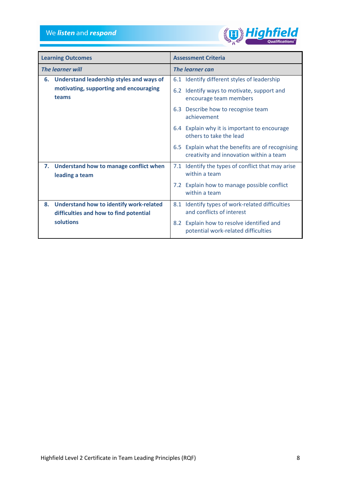

|                         | <b>Learning Outcomes</b>                                    |                 | <b>Assessment Criteria</b>                                                                  |
|-------------------------|-------------------------------------------------------------|-----------------|---------------------------------------------------------------------------------------------|
| <b>The learner will</b> |                                                             | The learner can |                                                                                             |
| 6.                      | <b>Understand leadership styles and ways of</b>             |                 | 6.1 Identify different styles of leadership                                                 |
|                         | motivating, supporting and encouraging<br>teams             |                 | 6.2 Identify ways to motivate, support and<br>encourage team members                        |
|                         |                                                             | 6.3             | Describe how to recognise team<br>achievement                                               |
|                         |                                                             |                 | 6.4 Explain why it is important to encourage<br>others to take the lead                     |
|                         |                                                             |                 | 6.5 Explain what the benefits are of recognising<br>creativity and innovation within a team |
|                         | 7. Understand how to manage conflict when<br>leading a team |                 | 7.1 Identify the types of conflict that may arise<br>within a team                          |
|                         |                                                             |                 | 7.2 Explain how to manage possible conflict<br>within a team                                |
| 8.                      | <b>Understand how to identify work-related</b>              |                 | 8.1 Identify types of work-related difficulties                                             |
|                         | difficulties and how to find potential                      |                 | and conflicts of interest                                                                   |
|                         | solutions                                                   | 8.2             | Explain how to resolve identified and<br>potential work-related difficulties                |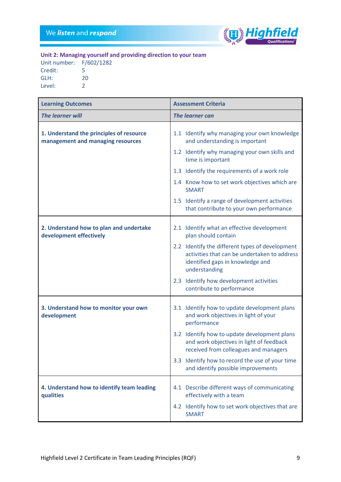

Unit 2: Managing yourself and providing direction to your team

| Unit number: | F/602/1282    |
|--------------|---------------|
| Credit:      | 5             |
| GLH:         | 20            |
| Level:       | $\mathcal{L}$ |

| <b>Learning Outcomes</b>                                                      | <b>Assessment Criteria</b>                                                                                                                           |
|-------------------------------------------------------------------------------|------------------------------------------------------------------------------------------------------------------------------------------------------|
| The learner will                                                              | <b>The learner can</b>                                                                                                                               |
| 1. Understand the principles of resource<br>management and managing resources | 1.1 Identify why managing your own knowledge<br>and understanding is important                                                                       |
|                                                                               | 1.2 Identify why managing your own skills and<br>time is important                                                                                   |
|                                                                               | 1.3 Identify the requirements of a work role                                                                                                         |
|                                                                               | 1.4 Know how to set work objectives which are<br><b>SMART</b>                                                                                        |
|                                                                               | 1.5 Identify a range of development activities<br>that contribute to your own performance                                                            |
| 2. Understand how to plan and undertake<br>development effectively            | 2.1 Identify what an effective development<br>plan should contain                                                                                    |
|                                                                               | 2.2 Identify the different types of development<br>activities that can be undertaken to address<br>identified gaps in knowledge and<br>understanding |
|                                                                               | 2.3 Identify how development activities<br>contribute to performance                                                                                 |
| 3. Understand how to monitor your own<br>development                          | 3.1 Identify how to update development plans<br>and work objectives in light of your<br>performance                                                  |
|                                                                               | 3.2 Identify how to update development plans<br>and work objectives in light of feedback<br>received from colleagues and managers                    |
|                                                                               | 3.3 Identify how to record the use of your time<br>and identify possible improvements                                                                |
| 4. Understand how to identify team leading<br>qualities                       | 4.1 Describe different ways of communicating<br>effectively with a team                                                                              |
|                                                                               | 4.2 Identify how to set work objectives that are<br><b>SMART</b>                                                                                     |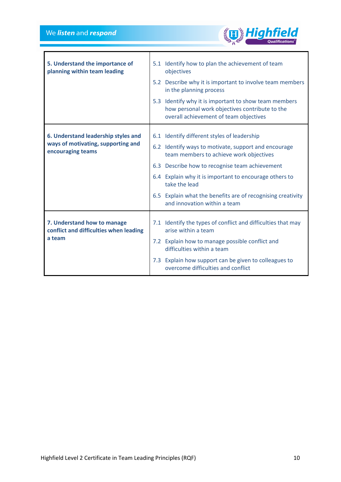

| 5. Understand the importance of<br>planning within team leading       | 5.1 Identify how to plan the achievement of team<br>objectives<br>5.2 Describe why it is important to involve team members<br>in the planning process<br>5.3 Identify why it is important to show team members<br>how personal work objectives contribute to the<br>overall achievement of team objectives |
|-----------------------------------------------------------------------|------------------------------------------------------------------------------------------------------------------------------------------------------------------------------------------------------------------------------------------------------------------------------------------------------------|
| 6. Understand leadership styles and                                   | 6.1 Identify different styles of leadership                                                                                                                                                                                                                                                                |
| ways of motivating, supporting and<br>encouraging teams               | 6.2 Identify ways to motivate, support and encourage<br>team members to achieve work objectives                                                                                                                                                                                                            |
|                                                                       | 6.3 Describe how to recognise team achievement                                                                                                                                                                                                                                                             |
|                                                                       | 6.4 Explain why it is important to encourage others to<br>take the lead                                                                                                                                                                                                                                    |
|                                                                       | 6.5 Explain what the benefits are of recognising creativity<br>and innovation within a team                                                                                                                                                                                                                |
| 7. Understand how to manage<br>conflict and difficulties when leading | 7.1 Identify the types of conflict and difficulties that may<br>arise within a team                                                                                                                                                                                                                        |
| a team                                                                | 7.2 Explain how to manage possible conflict and<br>difficulties within a team                                                                                                                                                                                                                              |
|                                                                       | 7.3 Explain how support can be given to colleagues to<br>overcome difficulties and conflict                                                                                                                                                                                                                |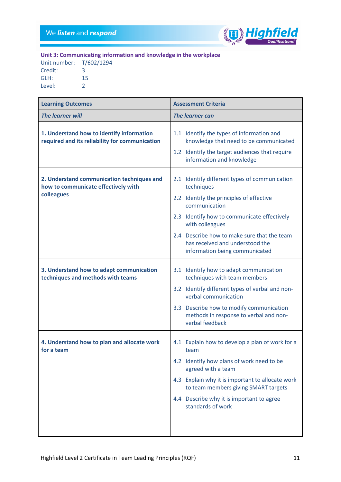

Unit 3: Communicating information and knowledge in the workplace

| Unit number: T/602/1294 |
|-------------------------|
| З                       |
| 15                      |
| $\mathcal{L}$           |
|                         |

| <b>Learning Outcomes</b>                                                                        | <b>Assessment Criteria</b>                                                                                                                                                                                                                                                               |
|-------------------------------------------------------------------------------------------------|------------------------------------------------------------------------------------------------------------------------------------------------------------------------------------------------------------------------------------------------------------------------------------------|
| <b>The learner will</b>                                                                         | <b>The learner can</b>                                                                                                                                                                                                                                                                   |
| 1. Understand how to identify information<br>required and its reliability for communication     | 1.1 Identify the types of information and<br>knowledge that need to be communicated<br>1.2 Identify the target audiences that require<br>information and knowledge                                                                                                                       |
| 2. Understand communication techniques and<br>how to communicate effectively with<br>colleagues | 2.1 Identify different types of communication<br>techniques<br>2.2 Identify the principles of effective<br>communication<br>2.3 Identify how to communicate effectively                                                                                                                  |
|                                                                                                 | with colleagues<br>2.4 Describe how to make sure that the team<br>has received and understood the<br>information being communicated                                                                                                                                                      |
| 3. Understand how to adapt communication<br>techniques and methods with teams                   | 3.1 Identify how to adapt communication<br>techniques with team members<br>3.2 Identify different types of verbal and non-<br>verbal communication<br>3.3 Describe how to modify communication<br>methods in response to verbal and non-<br>verbal feedback                              |
| 4. Understand how to plan and allocate work<br>for a team                                       | 4.1 Explain how to develop a plan of work for a<br>team<br>4.2 Identify how plans of work need to be<br>agreed with a team<br>4.3 Explain why it is important to allocate work<br>to team members giving SMART targets<br>4.4 Describe why it is important to agree<br>standards of work |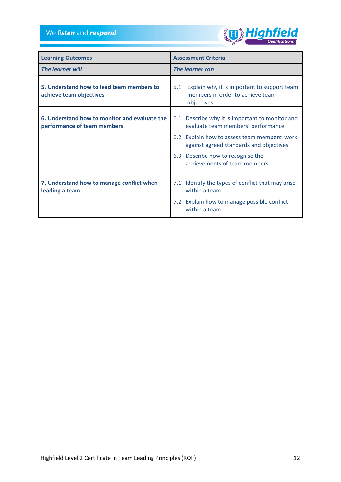We *listen* and *respond* 



| <b>Learning Outcomes</b>                                                     | <b>Assessment Criteria</b>                                                                           |  |
|------------------------------------------------------------------------------|------------------------------------------------------------------------------------------------------|--|
| The learner will                                                             | The learner can                                                                                      |  |
| 5. Understand how to lead team members to<br>achieve team objectives         | Explain why it is important to support team<br>5.1<br>members in order to achieve team<br>objectives |  |
| 6. Understand how to monitor and evaluate the<br>performance of team members | 6.1 Describe why it is important to monitor and<br>evaluate team members' performance                |  |
|                                                                              | 6.2 Explain how to assess team members' work<br>against agreed standards and objectives              |  |
|                                                                              | 6.3 Describe how to recognise the<br>achievements of team members                                    |  |
| 7. Understand how to manage conflict when<br>leading a team                  | 7.1 Identify the types of conflict that may arise<br>within a team                                   |  |
|                                                                              | 7.2 Explain how to manage possible conflict<br>within a team                                         |  |